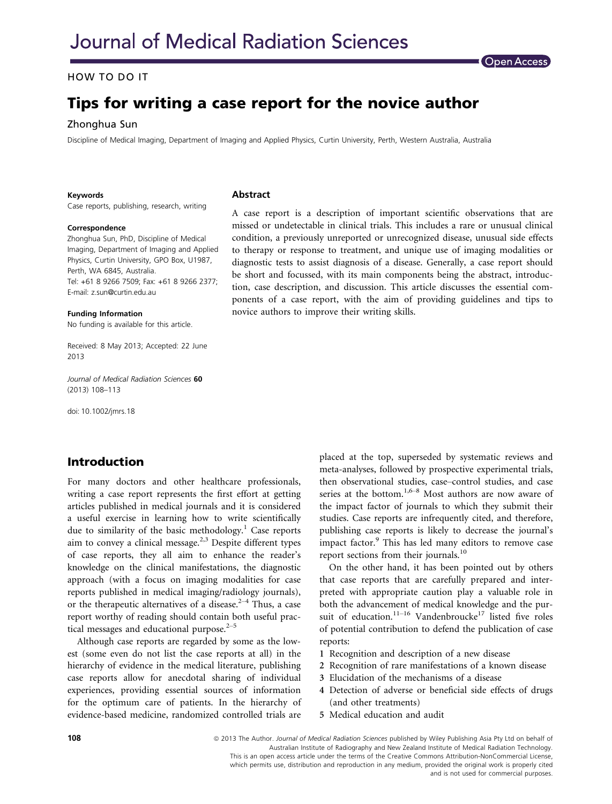### HOW TO DO IT

# Tips for writing a case report for the novice author

Zhonghua Sun Discipline of Medical Imaging, Department of Imaging and Applied Physics, Curtin University, Perth, Western Australia, Australia

#### Keywords

Case reports, publishing, research, writing

#### **Correspondence**

Zhonghua Sun, PhD, Discipline of Medical Imaging, Department of Imaging and Applied Physics, Curtin University, GPO Box, U1987, Perth, WA 6845, Australia. Tel: +61 8 9266 7509; Fax: +61 8 9266 2377; E-mail: z.sun@curtin.edu.au

Funding Information No funding is available for this article.

Received: 8 May 2013; Accepted: 22 June 2013

Journal of Medical Radiation Sciences 60 (2013) 108–113

doi: 10.1002/jmrs.18

# Introduction

For many doctors and other healthcare professionals, writing a case report represents the first effort at getting articles published in medical journals and it is considered a useful exercise in learning how to write scientifically due to similarity of the basic methodology.<sup>1</sup> Case reports aim to convey a clinical message.2,3 Despite different types of case reports, they all aim to enhance the reader's knowledge on the clinical manifestations, the diagnostic approach (with a focus on imaging modalities for case reports published in medical imaging/radiology journals), or the therapeutic alternatives of a disease.<sup>2–4</sup> Thus, a case report worthy of reading should contain both useful practical messages and educational purpose. $2-5$ 

Although case reports are regarded by some as the lowest (some even do not list the case reports at all) in the hierarchy of evidence in the medical literature, publishing case reports allow for anecdotal sharing of individual experiences, providing essential sources of information for the optimum care of patients. In the hierarchy of evidence-based medicine, randomized controlled trials are

#### Abstract

A case report is a description of important scientific observations that are missed or undetectable in clinical trials. This includes a rare or unusual clinical condition, a previously unreported or unrecognized disease, unusual side effects to therapy or response to treatment, and unique use of imaging modalities or diagnostic tests to assist diagnosis of a disease. Generally, a case report should be short and focussed, with its main components being the abstract, introduction, case description, and discussion. This article discusses the essential components of a case report, with the aim of providing guidelines and tips to novice authors to improve their writing skills.

**Open Access** 

placed at the top, superseded by systematic reviews and meta-analyses, followed by prospective experimental trials, then observational studies, case–control studies, and case series at the bottom.<sup>1,6–8</sup> Most authors are now aware of the impact factor of journals to which they submit their studies. Case reports are infrequently cited, and therefore, publishing case reports is likely to decrease the journal's impact factor.<sup>9</sup> This has led many editors to remove case report sections from their journals.<sup>10</sup>

On the other hand, it has been pointed out by others that case reports that are carefully prepared and interpreted with appropriate caution play a valuable role in both the advancement of medical knowledge and the pursuit of education.<sup>11–16</sup> Vandenbroucke<sup>17</sup> listed five roles of potential contribution to defend the publication of case reports:

- 1 Recognition and description of a new disease
- 2 Recognition of rare manifestations of a known disease
- 3 Elucidation of the mechanisms of a disease
- 4 Detection of adverse or beneficial side effects of drugs (and other treatments)
- 5 Medical education and audit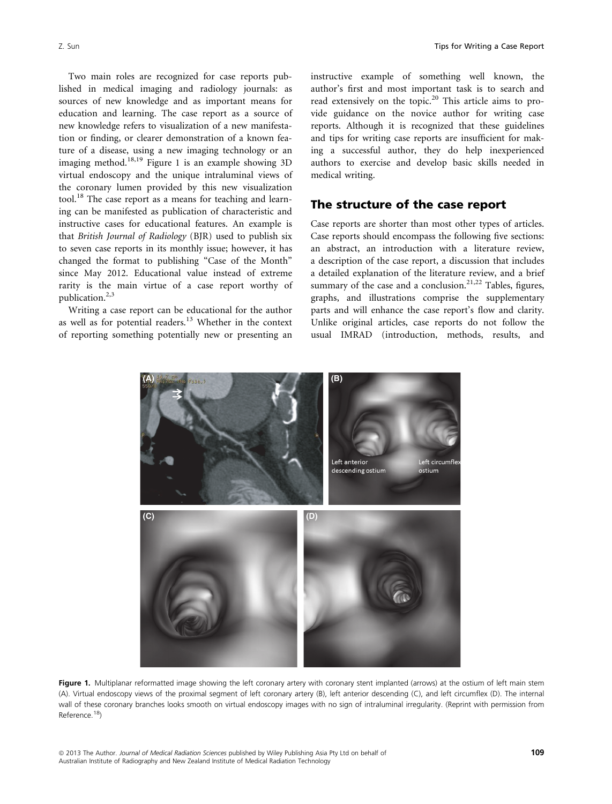Two main roles are recognized for case reports published in medical imaging and radiology journals: as sources of new knowledge and as important means for education and learning. The case report as a source of new knowledge refers to visualization of a new manifestation or finding, or clearer demonstration of a known feature of a disease, using a new imaging technology or an imaging method.<sup>18,19</sup> Figure 1 is an example showing 3D virtual endoscopy and the unique intraluminal views of the coronary lumen provided by this new visualization tool.<sup>18</sup> The case report as a means for teaching and learning can be manifested as publication of characteristic and instructive cases for educational features. An example is that British Journal of Radiology (BJR) used to publish six to seven case reports in its monthly issue; however, it has changed the format to publishing "Case of the Month" since May 2012. Educational value instead of extreme rarity is the main virtue of a case report worthy of publication.<sup>2,3</sup>

Writing a case report can be educational for the author as well as for potential readers.<sup>13</sup> Whether in the context of reporting something potentially new or presenting an instructive example of something well known, the author's first and most important task is to search and read extensively on the topic.<sup>20</sup> This article aims to provide guidance on the novice author for writing case reports. Although it is recognized that these guidelines and tips for writing case reports are insufficient for making a successful author, they do help inexperienced authors to exercise and develop basic skills needed in medical writing.

# The structure of the case report

Case reports are shorter than most other types of articles. Case reports should encompass the following five sections: an abstract, an introduction with a literature review, a description of the case report, a discussion that includes a detailed explanation of the literature review, and a brief summary of the case and a conclusion. $21,22$  Tables, figures, graphs, and illustrations comprise the supplementary parts and will enhance the case report's flow and clarity. Unlike original articles, case reports do not follow the usual IMRAD (introduction, methods, results, and



Figure 1. Multiplanar reformatted image showing the left coronary artery with coronary stent implanted (arrows) at the ostium of left main stem (A). Virtual endoscopy views of the proximal segment of left coronary artery (B), left anterior descending (C), and left circumflex (D). The internal wall of these coronary branches looks smooth on virtual endoscopy images with no sign of intraluminal irregularity. (Reprint with permission from Reference.18)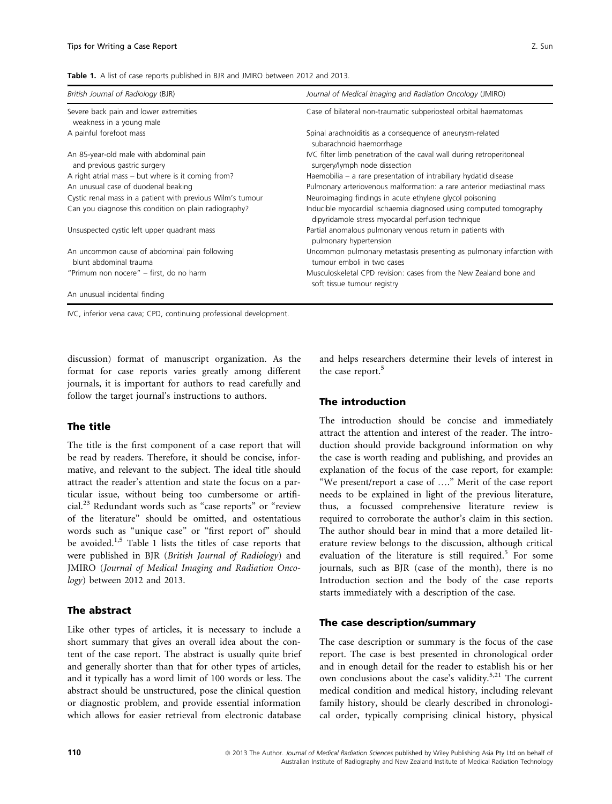|  |  |  |  |  |  |  | Table 1. A list of case reports published in BJR and JMIRO between 2012 and 2013. |  |  |  |  |  |  |  |  |  |
|--|--|--|--|--|--|--|-----------------------------------------------------------------------------------|--|--|--|--|--|--|--|--|--|
|--|--|--|--|--|--|--|-----------------------------------------------------------------------------------|--|--|--|--|--|--|--|--|--|

| British Journal of Radiology (BJR)                                      | Journal of Medical Imaging and Radiation Oncology (JMIRO)<br>Case of bilateral non-traumatic subperiosteal orbital haematomas |  |  |  |  |  |  |
|-------------------------------------------------------------------------|-------------------------------------------------------------------------------------------------------------------------------|--|--|--|--|--|--|
| Severe back pain and lower extremities<br>weakness in a young male      |                                                                                                                               |  |  |  |  |  |  |
| A painful forefoot mass                                                 | Spinal arachnoiditis as a consequence of aneurysm-related<br>subarachnoid haemorrhage                                         |  |  |  |  |  |  |
| An 85-year-old male with abdominal pain<br>and previous gastric surgery | IVC filter limb penetration of the caval wall during retroperitoneal<br>surgery/lymph node dissection                         |  |  |  |  |  |  |
| A right atrial mass – but where is it coming from?                      | Haemobilia $-$ a rare presentation of intrabiliary hydatid disease                                                            |  |  |  |  |  |  |
| An unusual case of duodenal beaking                                     | Pulmonary arteriovenous malformation: a rare anterior mediastinal mass                                                        |  |  |  |  |  |  |
| Cystic renal mass in a patient with previous Wilm's tumour              | Neuroimaging findings in acute ethylene glycol poisoning                                                                      |  |  |  |  |  |  |
| Can you diagnose this condition on plain radiography?                   | Inducible myocardial ischaemia diagnosed using computed tomography<br>dipyridamole stress myocardial perfusion technique      |  |  |  |  |  |  |
| Unsuspected cystic left upper quadrant mass                             | Partial anomalous pulmonary venous return in patients with<br>pulmonary hypertension                                          |  |  |  |  |  |  |
| An uncommon cause of abdominal pain following<br>blunt abdominal trauma | Uncommon pulmonary metastasis presenting as pulmonary infarction with<br>tumour emboli in two cases                           |  |  |  |  |  |  |
| "Primum non nocere" – first, do no harm                                 | Musculoskeletal CPD revision: cases from the New Zealand bone and<br>soft tissue tumour registry                              |  |  |  |  |  |  |
| An unusual incidental finding                                           |                                                                                                                               |  |  |  |  |  |  |

IVC, inferior vena cava; CPD, continuing professional development.

discussion) format of manuscript organization. As the format for case reports varies greatly among different journals, it is important for authors to read carefully and follow the target journal's instructions to authors.

#### The title

The title is the first component of a case report that will be read by readers. Therefore, it should be concise, informative, and relevant to the subject. The ideal title should attract the reader's attention and state the focus on a particular issue, without being too cumbersome or artificial.23 Redundant words such as "case reports" or "review of the literature" should be omitted, and ostentatious words such as "unique case" or "first report of" should be avoided.<sup>1,5</sup> Table 1 lists the titles of case reports that were published in BJR (British Journal of Radiology) and JMIRO (Journal of Medical Imaging and Radiation Oncology) between 2012 and 2013.

#### The abstract

Like other types of articles, it is necessary to include a short summary that gives an overall idea about the content of the case report. The abstract is usually quite brief and generally shorter than that for other types of articles, and it typically has a word limit of 100 words or less. The abstract should be unstructured, pose the clinical question or diagnostic problem, and provide essential information which allows for easier retrieval from electronic database

and helps researchers determine their levels of interest in the case report.<sup>5</sup>

#### The introduction

The introduction should be concise and immediately attract the attention and interest of the reader. The introduction should provide background information on why the case is worth reading and publishing, and provides an explanation of the focus of the case report, for example: "We present/report a case of …." Merit of the case report needs to be explained in light of the previous literature, thus, a focussed comprehensive literature review is required to corroborate the author's claim in this section. The author should bear in mind that a more detailed literature review belongs to the discussion, although critical evaluation of the literature is still required.<sup>5</sup> For some journals, such as BJR (case of the month), there is no Introduction section and the body of the case reports starts immediately with a description of the case.

#### The case description/summary

The case description or summary is the focus of the case report. The case is best presented in chronological order and in enough detail for the reader to establish his or her own conclusions about the case's validity.<sup>5,21</sup> The current medical condition and medical history, including relevant family history, should be clearly described in chronological order, typically comprising clinical history, physical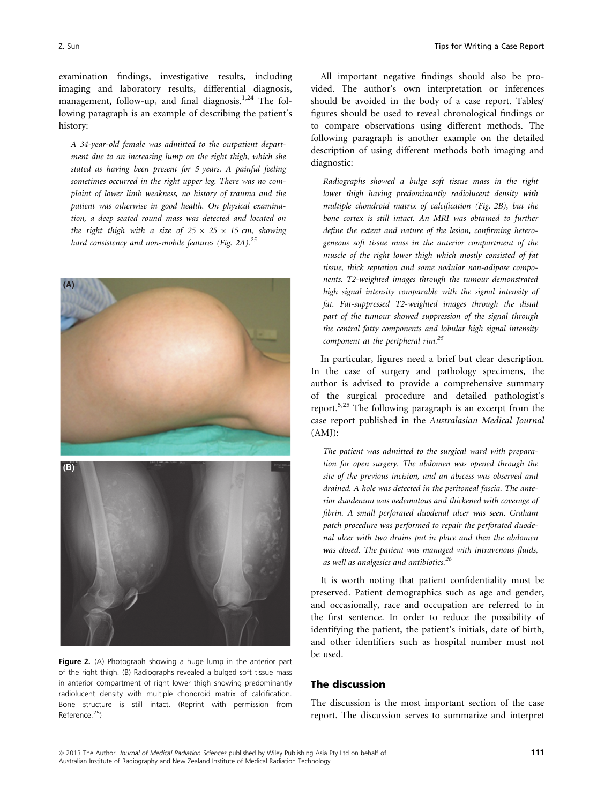examination findings, investigative results, including imaging and laboratory results, differential diagnosis, management, follow-up, and final diagnosis.<sup>1,24</sup> The following paragraph is an example of describing the patient's history:

A 34-year-old female was admitted to the outpatient department due to an increasing lump on the right thigh, which she stated as having been present for 5 years. A painful feeling sometimes occurred in the right upper leg. There was no complaint of lower limb weakness, no history of trauma and the patient was otherwise in good health. On physical examination, a deep seated round mass was detected and located on the right thigh with a size of  $25 \times 25 \times 15$  cm, showing hard consistency and non-mobile features (Fig. 2A).<sup>25</sup>



All important negative findings should also be provided. The author's own interpretation or inferences should be avoided in the body of a case report. Tables/ figures should be used to reveal chronological findings or to compare observations using different methods. The following paragraph is another example on the detailed description of using different methods both imaging and diagnostic:

Radiographs showed a bulge soft tissue mass in the right lower thigh having predominantly radiolucent density with multiple chondroid matrix of calcification (Fig. 2B), but the bone cortex is still intact. An MRI was obtained to further define the extent and nature of the lesion, confirming heterogeneous soft tissue mass in the anterior compartment of the muscle of the right lower thigh which mostly consisted of fat tissue, thick septation and some nodular non-adipose components. T2-weighted images through the tumour demonstrated high signal intensity comparable with the signal intensity of fat. Fat-suppressed T2-weighted images through the distal part of the tumour showed suppression of the signal through the central fatty components and lobular high signal intensity component at the peripheral rim.<sup>25</sup>

In particular, figures need a brief but clear description. In the case of surgery and pathology specimens, the author is advised to provide a comprehensive summary of the surgical procedure and detailed pathologist's report.5,25 The following paragraph is an excerpt from the case report published in the Australasian Medical Journal (AMJ):

The patient was admitted to the surgical ward with preparation for open surgery. The abdomen was opened through the site of the previous incision, and an abscess was observed and drained. A hole was detected in the peritoneal fascia. The anterior duodenum was oedematous and thickened with coverage of fibrin. A small perforated duodenal ulcer was seen. Graham patch procedure was performed to repair the perforated duodenal ulcer with two drains put in place and then the abdomen was closed. The patient was managed with intravenous fluids, as well as analgesics and antibiotics.<sup>26</sup>

It is worth noting that patient confidentiality must be preserved. Patient demographics such as age and gender, and occasionally, race and occupation are referred to in the first sentence. In order to reduce the possibility of identifying the patient, the patient's initials, date of birth, and other identifiers such as hospital number must not be used.

## The discussion

The discussion is the most important section of the case report. The discussion serves to summarize and interpret

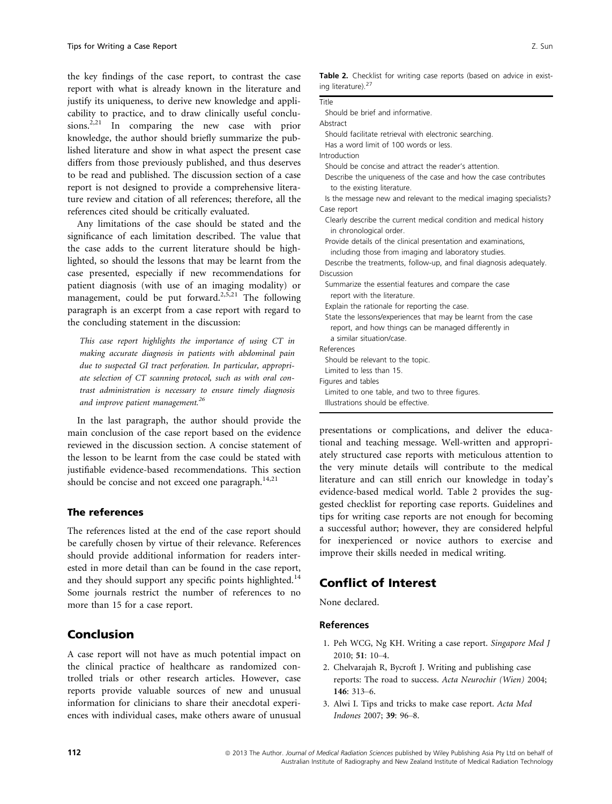the key findings of the case report, to contrast the case report with what is already known in the literature and justify its uniqueness, to derive new knowledge and applicability to practice, and to draw clinically useful conclusions.<sup>2,21</sup> In comparing the new case with prior knowledge, the author should briefly summarize the published literature and show in what aspect the present case differs from those previously published, and thus deserves to be read and published. The discussion section of a case report is not designed to provide a comprehensive literature review and citation of all references; therefore, all the references cited should be critically evaluated.

Any limitations of the case should be stated and the significance of each limitation described. The value that the case adds to the current literature should be highlighted, so should the lessons that may be learnt from the case presented, especially if new recommendations for patient diagnosis (with use of an imaging modality) or management, could be put forward.<sup>2,5,21</sup> The following paragraph is an excerpt from a case report with regard to the concluding statement in the discussion:

This case report highlights the importance of using CT in making accurate diagnosis in patients with abdominal pain due to suspected GI tract perforation. In particular, appropriate selection of CT scanning protocol, such as with oral contrast administration is necessary to ensure timely diagnosis and improve patient management.<sup>26</sup>

In the last paragraph, the author should provide the main conclusion of the case report based on the evidence reviewed in the discussion section. A concise statement of the lesson to be learnt from the case could be stated with justifiable evidence-based recommendations. This section should be concise and not exceed one paragraph.<sup>14,21</sup>

### The references

The references listed at the end of the case report should be carefully chosen by virtue of their relevance. References should provide additional information for readers interested in more detail than can be found in the case report, and they should support any specific points highlighted.<sup>14</sup> Some journals restrict the number of references to no more than 15 for a case report.

# Conclusion

A case report will not have as much potential impact on the clinical practice of healthcare as randomized controlled trials or other research articles. However, case reports provide valuable sources of new and unusual information for clinicians to share their anecdotal experiences with individual cases, make others aware of unusual

|                                | <b>Table 2.</b> Checklist for writing case reports (based on advice in exist- |  |  |  |  |  |
|--------------------------------|-------------------------------------------------------------------------------|--|--|--|--|--|
| ing literature). <sup>27</sup> |                                                                               |  |  |  |  |  |

| Title      |                                                                                                                        |
|------------|------------------------------------------------------------------------------------------------------------------------|
|            | Should be brief and informative.                                                                                       |
| Abstract   |                                                                                                                        |
|            | Should facilitate retrieval with electronic searching.                                                                 |
|            | Has a word limit of 100 words or less.                                                                                 |
|            | Introduction                                                                                                           |
|            | Should be concise and attract the reader's attention.                                                                  |
|            | Describe the uniqueness of the case and how the case contributes<br>to the existing literature.                        |
|            | Is the message new and relevant to the medical imaging specialists?                                                    |
|            | Case report                                                                                                            |
|            | Clearly describe the current medical condition and medical history<br>in chronological order.                          |
|            | Provide details of the clinical presentation and examinations,                                                         |
|            | including those from imaging and laboratory studies.                                                                   |
|            | Describe the treatments, follow-up, and final diagnosis adequately.                                                    |
| Discussion |                                                                                                                        |
|            | Summarize the essential features and compare the case<br>report with the literature.                                   |
|            | Explain the rationale for reporting the case.                                                                          |
|            | State the lessons/experiences that may be learnt from the case<br>report, and how things can be managed differently in |
|            | a similar situation/case.                                                                                              |
| References |                                                                                                                        |
|            | Should be relevant to the topic.                                                                                       |
|            | Limited to less than 15.                                                                                               |
|            | Figures and tables                                                                                                     |
|            | Limited to one table, and two to three figures.                                                                        |
|            | Illustrations should be effective                                                                                      |

presentations or complications, and deliver the educational and teaching message. Well-written and appropriately structured case reports with meticulous attention to the very minute details will contribute to the medical literature and can still enrich our knowledge in today's evidence-based medical world. Table 2 provides the suggested checklist for reporting case reports. Guidelines and tips for writing case reports are not enough for becoming a successful author; however, they are considered helpful for inexperienced or novice authors to exercise and improve their skills needed in medical writing.

# Conflict of Interest

None declared.

#### References

- 1. Peh WCG, Ng KH. Writing a case report. Singapore Med J 2010; 51: 10–4.
- 2. Chelvarajah R, Bycroft J. Writing and publishing case reports: The road to success. Acta Neurochir (Wien) 2004; 146: 313–6.
- 3. Alwi I. Tips and tricks to make case report. Acta Med Indones 2007; 39: 96–8.